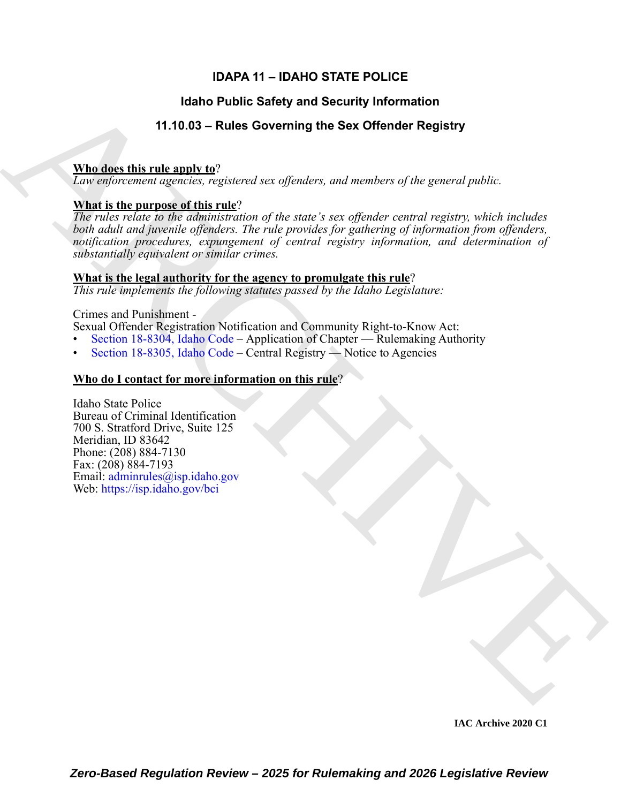# **IDAPA 11 – IDAHO STATE POLICE**

# **Idaho Public Safety and Security Information**

# **11.10.03 – Rules Governing the Sex Offender Registry**

### **Who does this rule apply to**?

*Law enforcement agencies, registered sex offenders, and members of the general public.* 

## **What is the purpose of this rule**?

**Hando Public Safety and Society Information**<br>
11.10.03 - [R](https://legislature.idaho.gov/statutesrules/idstat/Title18/T18CH83/SECT18-8304/)ules Governing the Sax Offender Registry<br>
The description of general public.<br>
The engineering equation of general public and<br>  $\frac{1}{2}$  and information of general *The rules relate to the administration of the state's sex offender central registry, which includes both adult and juvenile offenders. The rule provides for gathering of information from offenders, notification procedures, expungement of central registry information, and determination of substantially equivalent or similar crimes.*

#### **What is the legal authority for the agency to promulgate this rule**?

*This rule implements the following statutes passed by the Idaho Legislature:*

#### Crimes and Punishment -

Sexual Offender Registration Notification and Community Right-to-Know Act:

- Section 18-8304, Idaho Code Application of Chapter Rulemaking Authority
- Section 18-8305, Idaho Code Central Registry Notice to Agencies

# **Who do I contact for more information on this rule**?

Idaho State Police Bureau of Criminal Identification 700 S. Stratford Drive, Suite 125 Meridian, ID 83642 Phone: (208) 884-7130 Fax: (208) 884-7193 Email: adminrules@isp.idaho.gov Web: https://isp.idaho.gov/bci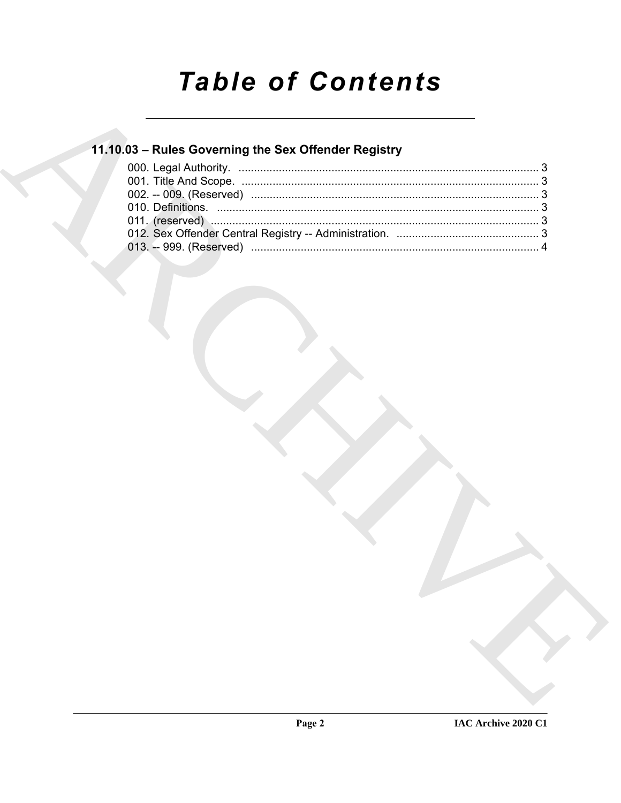# **Table of Contents**

# 11.10.03 - Rules Governing the Sex Offender Registry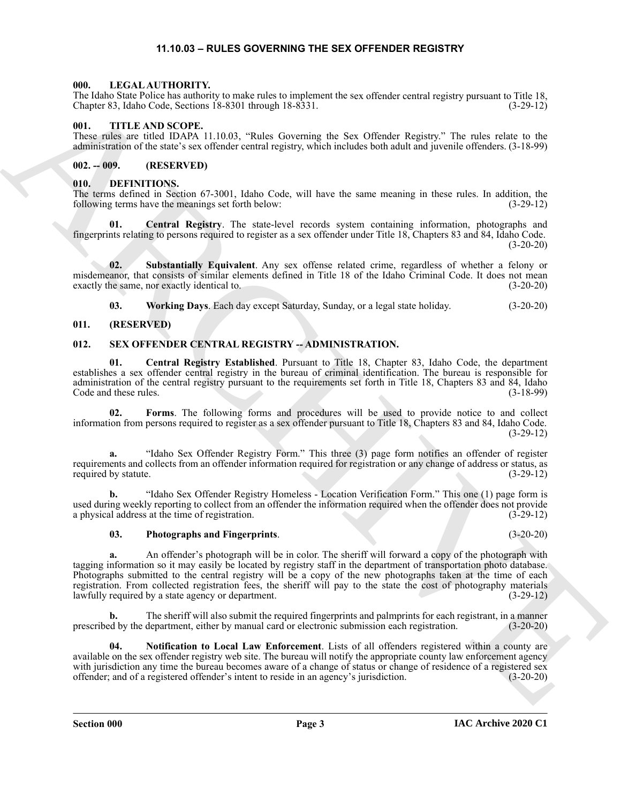#### **11.10.03 – RULES GOVERNING THE SEX OFFENDER REGISTRY**

#### <span id="page-2-11"></span><span id="page-2-1"></span><span id="page-2-0"></span>**000. LEGAL AUTHORITY.**

The Idaho State Police has authority to make rules to implement the sex offender central registry pursuant to Title 18, Chapter 83, Idaho Code, Sections 18-8301 through 18-8331. (3-29-12)

#### <span id="page-2-17"></span><span id="page-2-2"></span>**001. TITLE AND SCOPE.**

These rules are titled IDAPA 11.10.03, "Rules Governing the Sex Offender Registry." The rules relate to the administration of the state's sex offender central registry, which includes both adult and juvenile offenders. (3-18-99)

#### <span id="page-2-3"></span>**002. -- 009. (RESERVED)**

#### <span id="page-2-7"></span><span id="page-2-4"></span>**010. DEFINITIONS.**

The terms defined in Section 67-3001, Idaho Code, will have the same meaning in these rules. In addition, the following terms have the meanings set forth below: following terms have the meanings set forth below:

<span id="page-2-8"></span>**Central Registry.** The state-level records system containing information, photographs and fingerprints relating to persons required to register as a sex offender under Title 18, Chapters 83 and 84, Idaho Code.  $(3-20-20)$ 

**02. Substantially Equivalent**. Any sex offense related crime, regardless of whether a felony or misdemeanor, that consists of similar elements defined in Title 18 of the Idaho Criminal Code. It does not mean exactly the same, nor exactly identical to. (3-20-20)

<span id="page-2-13"></span><span id="page-2-12"></span><span id="page-2-10"></span><span id="page-2-9"></span>**03. Working Days**. Each day except Saturday, Sunday, or a legal state holiday. (3-20-20)

#### <span id="page-2-5"></span>**011. (RESERVED)**

#### <span id="page-2-6"></span>**012. SEX OFFENDER CENTRAL REGISTRY -- ADMINISTRATION.**

**01. Central Registry Established**. Pursuant to Title 18, Chapter 83, Idaho Code, the department establishes a sex offender central registry in the bureau of criminal identification. The bureau is responsible for administration of the central registry pursuant to the requirements set forth in Title 18, Chapters 83 and 84, Idaho Code and these rules. (3-18-99)

<span id="page-2-14"></span>**02. Forms**. The following forms and procedures will be used to provide notice to and collect information from persons required to register as a sex offender pursuant to Title 18, Chapters 83 and 84, Idaho Code. (3-29-12)

**a.** "Idaho Sex Offender Registry Form." This three (3) page form notifies an offender of register requirements and collects from an offender information required for registration or any change of address or status, as required by statute. (3-29-12)

**b.** "Idaho Sex Offender Registry Homeless - Location Verification Form." This one (1) page form is used during weekly reporting to collect from an offender the information required when the offender does not provide<br>a physical address at the time of registration. (3-29-12) a physical address at the time of registration.

#### <span id="page-2-16"></span>**03. Photographs and Fingerprints**. (3-20-20)

The loop  $X_1$  fields that the state is not the state interest in the state interest in the state is not the state in the state of the state is not the state in the state is not the state in the state is not the state in **a.** An offender's photograph will be in color. The sheriff will forward a copy of the photograph with tagging information so it may easily be located by registry staff in the department of transportation photo database. Photographs submitted to the central registry will be a copy of the new photographs taken at the time of each registration. From collected registration fees, the sheriff will pay to the state the cost of photography materials lawfully required by a state agency or department. (3-29-12)

**b.** The sheriff will also submit the required fingerprints and palmprints for each registrant, in a manner prescribed by the department, either by manual card or electronic submission each registration. (3-20-20)

<span id="page-2-15"></span>**04. Notification to Local Law Enforcement**. Lists of all offenders registered within a county are available on the sex offender registry web site. The bureau will notify the appropriate county law enforcement agency with jurisdiction any time the bureau becomes aware of a change of status or change of residence of a registered sex offender; and of a registered offender's intent to reside in an agency's jurisdiction. (3-20-20)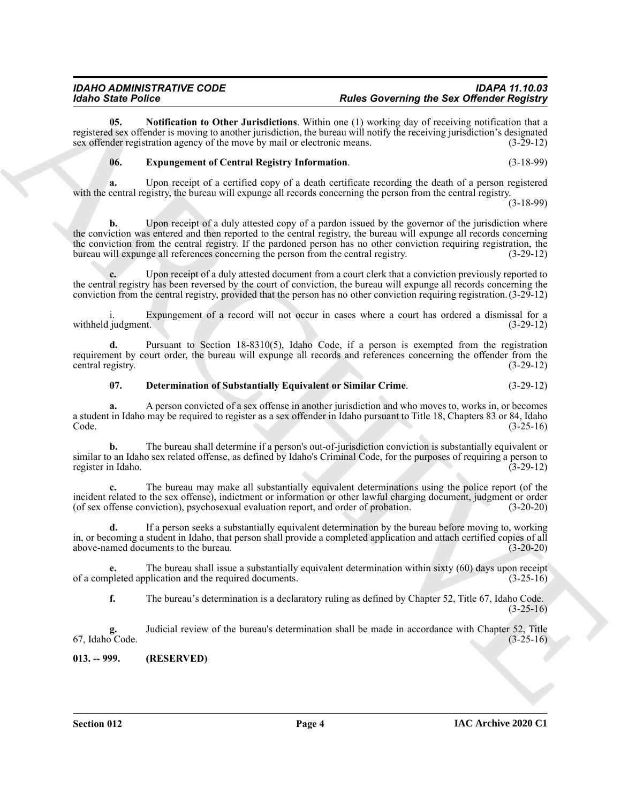**05. Notification to Other Jurisdictions**. Within one (1) working day of receiving notification that a registered sex offender is moving to another jurisdiction, the bureau will notify the receiving jurisdiction's designated sex offender registration agency of the move by mail or electronic means. (3-29-12)

#### <span id="page-3-3"></span><span id="page-3-2"></span>**06. Expungement of Central Registry Information**. (3-18-99)

**a.** Upon receipt of a certified copy of a death certificate recording the death of a person registered with the central registry, the bureau will expunge all records concerning the person from the central registry.

(3-18-99)

**Example Below Control and the state of the state of the Context properties of the Control and Section 2018.**<br>
Archives the state of the state of the state of the state of the state of the state of the state of the state **b.** Upon receipt of a duly attested copy of a pardon issued by the governor of the jurisdiction where the conviction was entered and then reported to the central registry, the bureau will expunge all records concerning the conviction from the central registry. If the pardoned person has no other conviction requiring registration, the bureau will expunge all references concerning the person from the central registry. (3-29-12)

Upon receipt of a duly attested document from a court clerk that a conviction previously reported to the central registry has been reversed by the court of conviction, the bureau will expunge all records concerning the conviction from the central registry, provided that the person has no other conviction requiring registration.(3-29-12)

Expungement of a record will not occur in cases where a court has ordered a dismissal for a (3-29-12) withheld judgment.

**d.** Pursuant to Section 18-8310(5), Idaho Code, if a person is exempted from the registration requirement by court order, the bureau will expunge all records and references concerning the offender from the central registry. (3-29-12)

#### <span id="page-3-1"></span>**07. Determination of Substantially Equivalent or Similar Crime**. (3-29-12)

**a.** A person convicted of a sex offense in another jurisdiction and who moves to, works in, or becomes a student in Idaho may be required to register as a sex offender in Idaho pursuant to Title 18, Chapters 83 or 84, Idaho Code. (3-25-16)

**b.** The bureau shall determine if a person's out-of-jurisdiction conviction is substantially equivalent or similar to an Idaho sex related offense, as defined by Idaho's Criminal Code, for the purposes of requiring a person to register in Idaho. (3-29-12) register in Idaho.

**c.** The bureau may make all substantially equivalent determinations using the police report (of the incident related to the sex offense), indictment or information or other lawful charging document, judgment or order (of sex offense conviction), psychosexual evaluation report, and order of probation. (3-20-20)

**d.** If a person seeks a substantially equivalent determination by the bureau before moving to, working in, or becoming a student in Idaho, that person shall provide a completed application and attach certified copies of all above-named documents to the bureau. (3-20-20)

**e.** The bureau shall issue a substantially equivalent determination within sixty (60) days upon receipt pleted application and the required documents. (3-25-16) of a completed application and the required documents.

**f.** The bureau's determination is a declaratory ruling as defined by Chapter 52, Title 67, Idaho Code.  $(3-25-16)$ 

**g.** Judicial review of the bureau's determination shall be made in accordance with Chapter 52, Title 67, Idaho Code. (3-25-16)

<span id="page-3-0"></span>**013. -- 999. (RESERVED)**